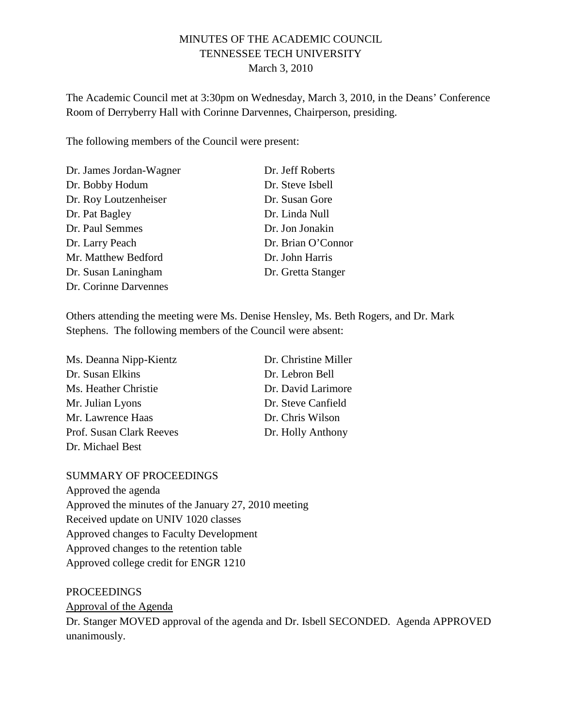### MINUTES OF THE ACADEMIC COUNCIL TENNESSEE TECH UNIVERSITY March 3, 2010

The Academic Council met at 3:30pm on Wednesday, March 3, 2010, in the Deans' Conference Room of Derryberry Hall with Corinne Darvennes, Chairperson, presiding.

The following members of the Council were present:

| Dr. James Jordan-Wagner | Dr. Jeff Roberts   |
|-------------------------|--------------------|
| Dr. Bobby Hodum         | Dr. Steve Isbell   |
| Dr. Roy Loutzenheiser   | Dr. Susan Gore     |
| Dr. Pat Bagley          | Dr. Linda Null     |
| Dr. Paul Semmes         | Dr. Jon Jonakin    |
| Dr. Larry Peach         | Dr. Brian O'Connor |
| Mr. Matthew Bedford     | Dr. John Harris    |
| Dr. Susan Laningham     | Dr. Gretta Stanger |
| Dr. Corinne Darvennes   |                    |

Others attending the meeting were Ms. Denise Hensley, Ms. Beth Rogers, and Dr. Mark Stephens. The following members of the Council were absent:

| Ms. Deanna Nipp-Kientz   | Dr. Christine Miller |
|--------------------------|----------------------|
| Dr. Susan Elkins         | Dr. Lebron Bell      |
| Ms. Heather Christie     | Dr. David Larimore   |
| Mr. Julian Lyons         | Dr. Steve Canfield   |
| Mr. Lawrence Haas        | Dr. Chris Wilson     |
| Prof. Susan Clark Reeves | Dr. Holly Anthony    |
| Dr. Michael Best         |                      |

#### SUMMARY OF PROCEEDINGS

Approved the agenda Approved the minutes of the January 27, 2010 meeting Received update on UNIV 1020 classes Approved changes to Faculty Development Approved changes to the retention table Approved college credit for ENGR 1210

PROCEEDINGS Dr. Stanger MOVED approval of the agenda and Dr. Isbell SECONDED. Agenda APPROVED unanimously. Approval of the Agenda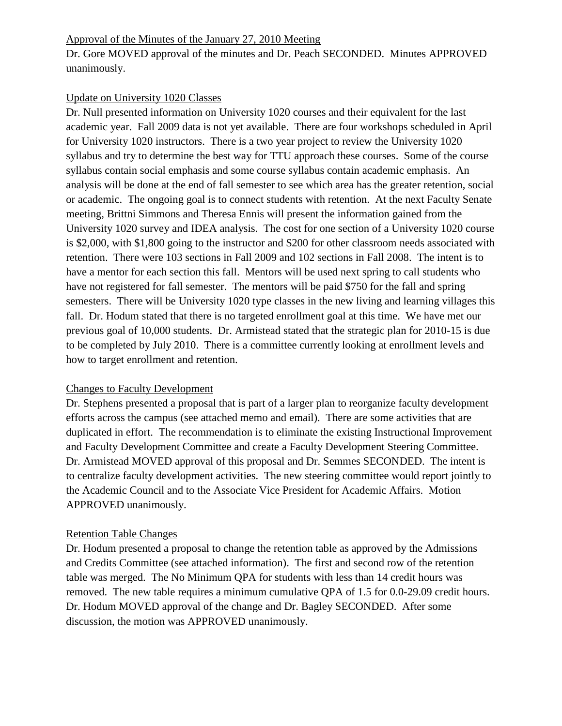### Approval of the Minutes of the January 27, 2010 Meeting

Dr. Gore MOVED approval of the minutes and Dr. Peach SECONDED. Minutes APPROVED unanimously.

### Update on University 1020 Classes

Dr. Null presented information on University 1020 courses and their equivalent for the last academic year. Fall 2009 data is not yet available. There are four workshops scheduled in April for University 1020 instructors. There is a two year project to review the University 1020 syllabus and try to determine the best way for TTU approach these courses. Some of the course syllabus contain social emphasis and some course syllabus contain academic emphasis. An analysis will be done at the end of fall semester to see which area has the greater retention, social or academic. The ongoing goal is to connect students with retention. At the next Faculty Senate meeting, Brittni Simmons and Theresa Ennis will present the information gained from the University 1020 survey and IDEA analysis. The cost for one section of a University 1020 course is \$2,000, with \$1,800 going to the instructor and \$200 for other classroom needs associated with retention. There were 103 sections in Fall 2009 and 102 sections in Fall 2008. The intent is to have a mentor for each section this fall. Mentors will be used next spring to call students who have not registered for fall semester. The mentors will be paid \$750 for the fall and spring semesters. There will be University 1020 type classes in the new living and learning villages this fall. Dr. Hodum stated that there is no targeted enrollment goal at this time. We have met our previous goal of 10,000 students. Dr. Armistead stated that the strategic plan for 2010-15 is due to be completed by July 2010. There is a committee currently looking at enrollment levels and how to target enrollment and retention.

# Changes to Faculty Development

Dr. Stephens presented a proposal that is part of a larger plan to reorganize faculty development efforts across the campus (see attached memo and email). There are some activities that are duplicated in effort. The recommendation is to eliminate the existing Instructional Improvement and Faculty Development Committee and create a Faculty Development Steering Committee. Dr. Armistead MOVED approval of this proposal and Dr. Semmes SECONDED. The intent is to centralize faculty development activities. The new steering committee would report jointly to the Academic Council and to the Associate Vice President for Academic Affairs. Motion APPROVED unanimously.

# Retention Table Changes

Dr. Hodum presented a proposal to change the retention table as approved by the Admissions and Credits Committee (see attached information). The first and second row of the retention table was merged. The No Minimum QPA for students with less than 14 credit hours was removed. The new table requires a minimum cumulative QPA of 1.5 for 0.0-29.09 credit hours. Dr. Hodum MOVED approval of the change and Dr. Bagley SECONDED. After some discussion, the motion was APPROVED unanimously.